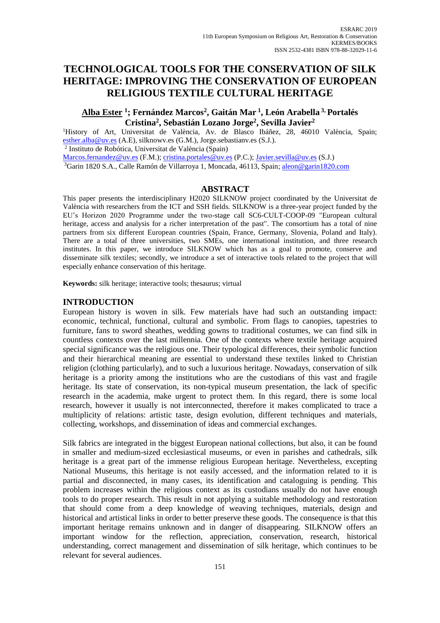# **TECHNOLOGICAL TOOLS FOR THE CONSERVATION OF SILK HERITAGE: IMPROVING THE CONSERVATION OF EUROPEAN RELIGIOUS TEXTILE CULTURAL HERITAGE**

# **Alba Ester <sup>1</sup> ; Fernández Marcos<sup>2</sup> , Gaitán Mar <sup>1</sup> , León Arabella 3, Portalés Cristina<sup>2</sup> , Sebastián Lozano Jorge<sup>2</sup> , Sevilla Javier<sup>2</sup>**

<sup>1</sup>History of Art, Universitat de València, Av. de Blasco Ibáñez, 28, 46010 València, Spain; [esther.alba@uv.es](mailto:silknow@uv.es) (A.E), silknowv.es (G.M.), Jorge.sebastianv.es (S.J.). 2 Instituto de Robótica, Universitat de València (Spain)

[Marcos.fernandez@uv.es](mailto:Marcos.fernandez@uv.es) (F.M.); [cristina.portales@uv.es](mailto:cristina.portales@uv.es) (P.C.); [Javier.sevilla@uv.es](mailto:Javier.sevilla@uv.es) (S.J.) <sup>3</sup>Garin 1820 S.A., Calle Ramón de Villarroya 1, Moncada, 46113, Spain; [aleon@garin1820.com](mailto:aleon@garin1820.com)

### **ABSTRACT**

This paper presents the interdisciplinary H2020 SILKNOW project coordinated by the Universitat de València with researchers from the ICT and SSH fields. SILKNOW is a three-year project funded by the EU's Horizon 2020 Programme under the two-stage call SC6-CULT-COOP-09 "European cultural heritage, access and analysis for a richer interpretation of the past". The consortium has a total of nine partners from six different European countries (Spain, France, Germany, Slovenia, Poland and Italy). There are a total of three universities, two SMEs, one international institution, and three research institutes. In this paper, we introduce SILKNOW which has as a goal to promote, conserve and disseminate silk textiles; secondly, we introduce a set of interactive tools related to the project that will especially enhance conservation of this heritage.

**Keywords:** silk heritage; interactive tools; thesaurus; virtual

#### **INTRODUCTION**

European history is woven in silk. Few materials have had such an outstanding impact: economic, technical, functional, cultural and symbolic. From flags to canopies, tapestries to furniture, fans to sword sheathes, wedding gowns to traditional costumes, we can find silk in countless contexts over the last millennia. One of the contexts where textile heritage acquired special significance was the religious one. Their typological differences, their symbolic function and their hierarchical meaning are essential to understand these textiles linked to Christian religion (clothing particularly), and to such a luxurious heritage. Nowadays, conservation of silk heritage is a priority among the institutions who are the custodians of this vast and fragile heritage. Its state of conservation, its non-typical museum presentation, the lack of specific research in the academia, make urgent to protect them. In this regard, there is some local research, however it usually is not interconnected, therefore it makes complicated to trace a multiplicity of relations: artistic taste, design evolution, different techniques and materials, collecting, workshops, and dissemination of ideas and commercial exchanges.

Silk fabrics are integrated in the biggest European national collections, but also, it can be found in smaller and medium-sized ecclesiastical museums, or even in parishes and cathedrals, silk heritage is a great part of the immense religious European heritage. Nevertheless, excepting National Museums, this heritage is not easily accessed, and the information related to it is partial and disconnected, in many cases, its identification and cataloguing is pending. This problem increases within the religious context as its custodians usually do not have enough tools to do proper research. This result in not applying a suitable methodology and restoration that should come from a deep knowledge of weaving techniques, materials, design and historical and artistical links in order to better preserve these goods. The consequence is that this important heritage remains unknown and in danger of disappearing. SILKNOW offers an important window for the reflection, appreciation, conservation, research, historical understanding, correct management and dissemination of silk heritage, which continues to be relevant for several audiences.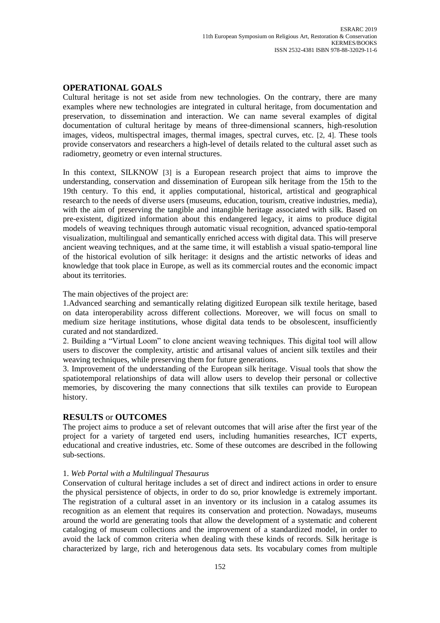# **OPERATIONAL GOALS**

Cultural heritage is not set aside from new technologies. On the contrary, there are many examples where new technologies are integrated in cultural heritage, from documentation and preservation, to dissemination and interaction. We can name several examples of digital documentation of cultural heritage by means of three-dimensional scanners, high-resolution images, videos, multispectral images, thermal images, spectral curves, etc. [2, 4]. These tools provide conservators and researchers a high-level of details related to the cultural asset such as radiometry, geometry or even internal structures.

In this context, SILKNOW [3] is a European research project that aims to improve the understanding, conservation and dissemination of European silk heritage from the 15th to the 19th century. To this end, it applies computational, historical, artistical and geographical research to the needs of diverse users (museums, education, tourism, creative industries, media), with the aim of preserving the tangible and intangible heritage associated with silk. Based on pre-existent, digitized information about this endangered legacy, it aims to produce digital models of weaving techniques through automatic visual recognition, advanced spatio-temporal visualization, multilingual and semantically enriched access with digital data. This will preserve ancient weaving techniques, and at the same time, it will establish a visual spatio-temporal line of the historical evolution of silk heritage: it designs and the artistic networks of ideas and knowledge that took place in Europe, as well as its commercial routes and the economic impact about its territories.

The main objectives of the project are:

1.Advanced searching and semantically relating digitized European silk textile heritage, based on data interoperability across different collections. Moreover, we will focus on small to medium size heritage institutions, whose digital data tends to be obsolescent, insufficiently curated and not standardized.

2. Building a "Virtual Loom" to clone ancient weaving techniques. This digital tool will allow users to discover the complexity, artistic and artisanal values of ancient silk textiles and their weaving techniques, while preserving them for future generations.

3. Improvement of the understanding of the European silk heritage. Visual tools that show the spatiotemporal relationships of data will allow users to develop their personal or collective memories, by discovering the many connections that silk textiles can provide to European history.

## **RESULTS** or **OUTCOMES**

The project aims to produce a set of relevant outcomes that will arise after the first year of the project for a variety of targeted end users, including humanities researches, ICT experts, educational and creative industries, etc. Some of these outcomes are described in the following sub-sections.

## 1. *Web Portal with a Multilingual Thesaurus*

Conservation of cultural heritage includes a set of direct and indirect actions in order to ensure the physical persistence of objects, in order to do so, prior knowledge is extremely important. The registration of a cultural asset in an inventory or its inclusion in a catalog assumes its recognition as an element that requires its conservation and protection. Nowadays, museums around the world are generating tools that allow the development of a systematic and coherent cataloging of museum collections and the improvement of a standardized model, in order to avoid the lack of common criteria when dealing with these kinds of records. Silk heritage is characterized by large, rich and heterogenous data sets. Its vocabulary comes from multiple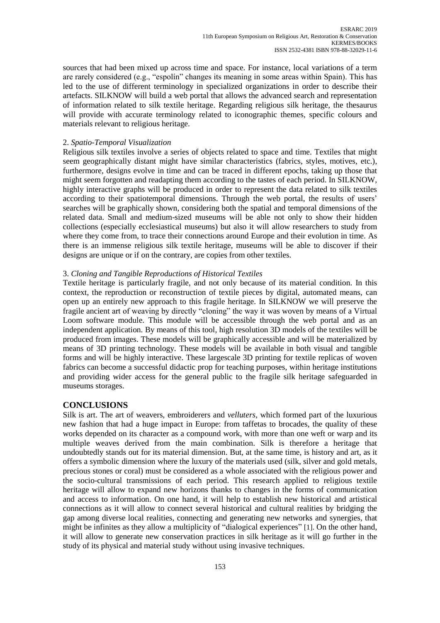sources that had been mixed up across time and space. For instance, local variations of a term are rarely considered (e.g., "espolín" changes its meaning in some areas within Spain). This has led to the use of different terminology in specialized organizations in order to describe their artefacts. SILKNOW will build a web portal that allows the advanced search and representation of information related to silk textile heritage. Regarding religious silk heritage, the thesaurus will provide with accurate terminology related to iconographic themes, specific colours and materials relevant to religious heritage.

#### 2. *Spatio-Temporal Visualization*

Religious silk textiles involve a series of objects related to space and time. Textiles that might seem geographically distant might have similar characteristics (fabrics, styles, motives, etc.), furthermore, designs evolve in time and can be traced in different epochs, taking up those that might seem forgotten and readapting them according to the tastes of each period. In SILKNOW, highly interactive graphs will be produced in order to represent the data related to silk textiles according to their spatiotemporal dimensions. Through the web portal, the results of users' searches will be graphically shown, considering both the spatial and temporal dimensions of the related data. Small and medium-sized museums will be able not only to show their hidden collections (especially ecclesiastical museums) but also it will allow researchers to study from where they come from, to trace their connections around Europe and their evolution in time. As there is an immense religious silk textile heritage, museums will be able to discover if their designs are unique or if on the contrary, are copies from other textiles.

### 3. *Cloning and Tangible Reproductions of Historical Textiles*

Textile heritage is particularly fragile, and not only because of its material condition. In this context, the reproduction or reconstruction of textile pieces by digital, automated means, can open up an entirely new approach to this fragile heritage. In SILKNOW we will preserve the fragile ancient art of weaving by directly "cloning" the way it was woven by means of a Virtual Loom software module. This module will be accessible through the web portal and as an independent application. By means of this tool, high resolution 3D models of the textiles will be produced from images. These models will be graphically accessible and will be materialized by means of 3D printing technology. These models will be available in both visual and tangible forms and will be highly interactive. These largescale 3D printing for textile replicas of woven fabrics can become a successful didactic prop for teaching purposes, within heritage institutions and providing wider access for the general public to the fragile silk heritage safeguarded in museums storages.

#### **CONCLUSIONS**

Silk is art. The art of weavers, embroiderers and *velluters*, which formed part of the luxurious new fashion that had a huge impact in Europe: from taffetas to brocades, the quality of these works depended on its character as a compound work, with more than one weft or warp and its multiple weaves derived from the main combination. Silk is therefore a heritage that undoubtedly stands out for its material dimension. But, at the same time, is history and art, as it offers a symbolic dimension where the luxury of the materials used (silk, silver and gold metals, precious stones or coral) must be considered as a whole associated with the religious power and the socio-cultural transmissions of each period. This research applied to religious textile heritage will allow to expand new horizons thanks to changes in the forms of communication and access to information. On one hand, it will help to establish new historical and artistical connections as it will allow to connect several historical and cultural realities by bridging the gap among diverse local realities, connecting and generating new networks and synergies, that might be infinites as they allow a multiplicity of "dialogical experiences" [1]. On the other hand, it will allow to generate new conservation practices in silk heritage as it will go further in the study of its physical and material study without using invasive techniques.